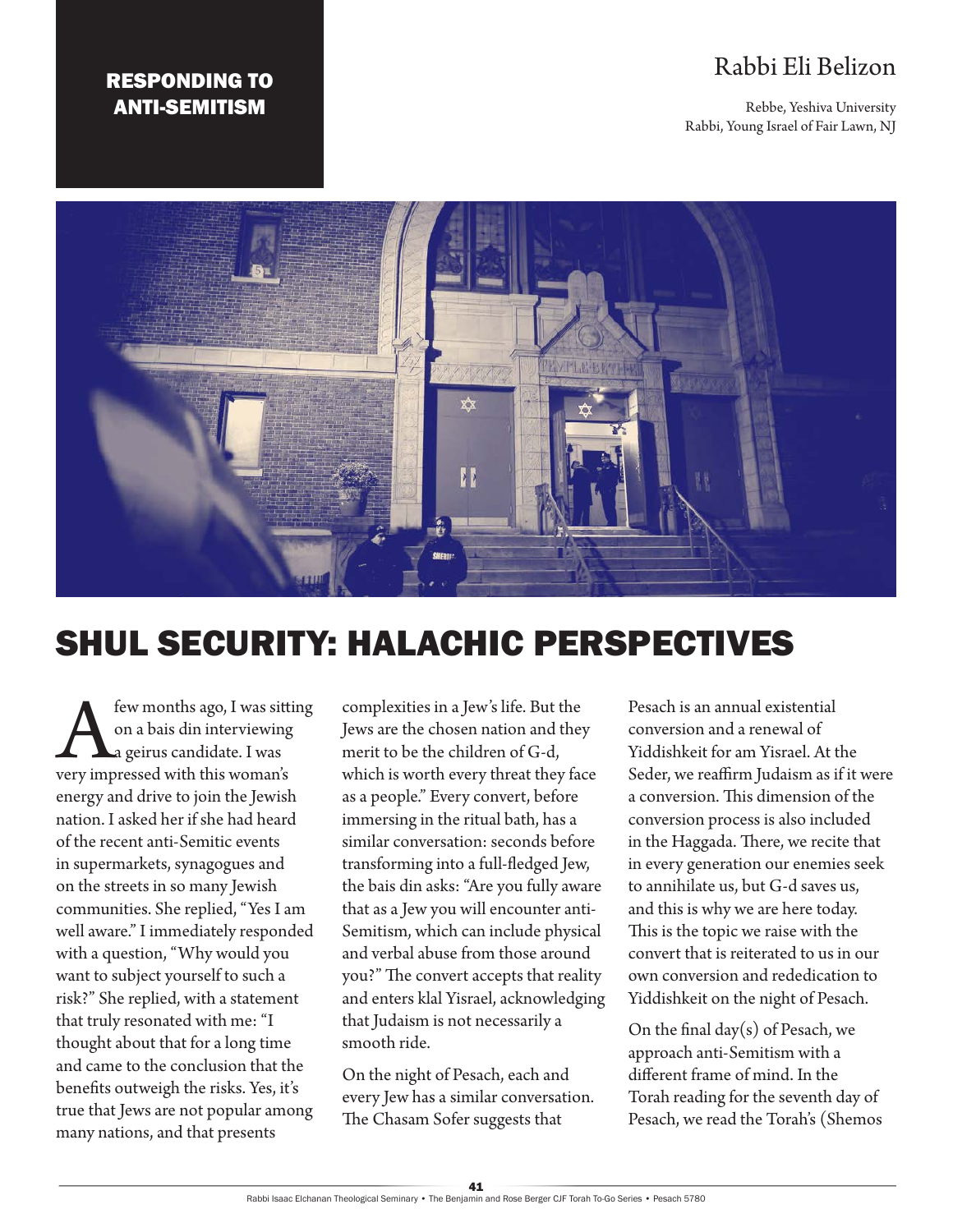# RESPONDING TO ANTI-SEMITISM

# Rabbi Eli Belizon

Rebbe, Yeshiva University Rabbi, Young Israel of Fair Lawn, NJ



# SHUL SECURITY: HALACHIC PERSPECTIVES

**A few months ago, I was sitting**<br> **A** a geirus candidate. I was<br>
very impressed with this woman's on a bais din interviewing a geirus candidate. I was energy and drive to join the Jewish nation. I asked her if she had heard of the recent anti-Semitic events in supermarkets, synagogues and on the streets in so many Jewish communities. She replied, "Yes I am well aware." I immediately responded with a question, "Why would you want to subject yourself to such a risk?" She replied, with a statement that truly resonated with me: "I thought about that for a long time and came to the conclusion that the benefits outweigh the risks. Yes, it's true that Jews are not popular among many nations, and that presents

complexities in a Jew's life. But the Jews are the chosen nation and they merit to be the children of G-d, which is worth every threat they face as a people." Every convert, before immersing in the ritual bath, has a similar conversation: seconds before transforming into a full-fledged Jew, the bais din asks: "Are you fully aware that as a Jew you will encounter anti-Semitism, which can include physical and verbal abuse from those around you?" The convert accepts that reality and enters klal Yisrael, acknowledging that Judaism is not necessarily a smooth ride.

On the night of Pesach, each and every Jew has a similar conversation. The Chasam Sofer suggests that

Pesach is an annual existential conversion and a renewal of Yiddishkeit for am Yisrael. At the Seder, we reaffirm Judaism as if it were a conversion. This dimension of the conversion process is also included in the Haggada. There, we recite that in every generation our enemies seek to annihilate us, but G-d saves us, and this is why we are here today. This is the topic we raise with the convert that is reiterated to us in our own conversion and rededication to Yiddishkeit on the night of Pesach.

On the final day $(s)$  of Pesach, we approach anti-Semitism with a different frame of mind. In the Torah reading for the seventh day of Pesach, we read the Torah's (Shemos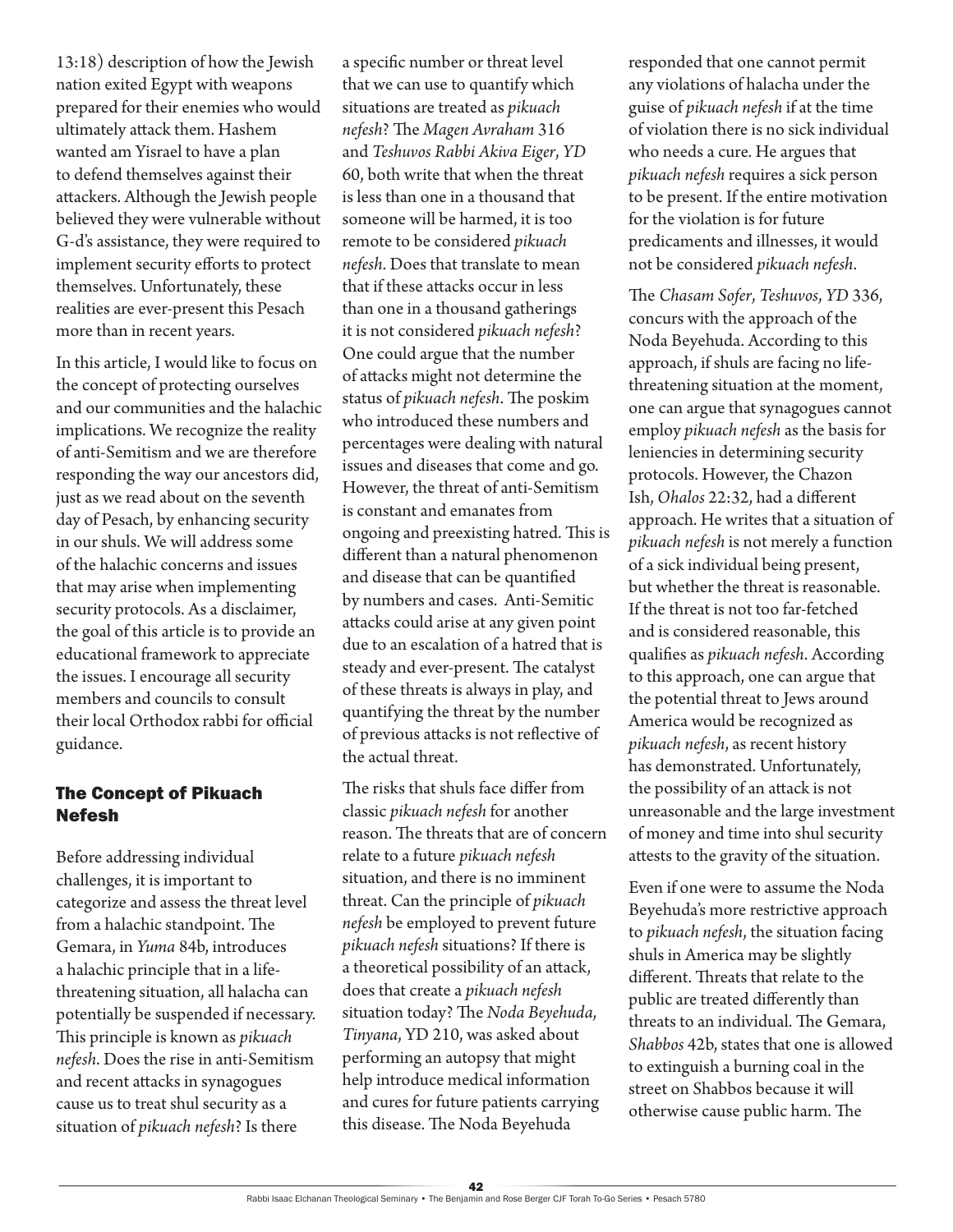13:18) description of how the Jewish nation exited Egypt with weapons prepared for their enemies who would ultimately attack them. Hashem wanted am Yisrael to have a plan to defend themselves against their attackers. Although the Jewish people believed they were vulnerable without G-d's assistance, they were required to implement security efforts to protect themselves. Unfortunately, these realities are ever-present this Pesach more than in recent years.

In this article, I would like to focus on the concept of protecting ourselves and our communities and the halachic implications. We recognize the reality of anti-Semitism and we are therefore responding the way our ancestors did, just as we read about on the seventh day of Pesach, by enhancing security in our shuls. We will address some of the halachic concerns and issues that may arise when implementing security protocols. As a disclaimer, the goal of this article is to provide an educational framework to appreciate the issues. I encourage all security members and councils to consult their local Orthodox rabbi for official guidance.

# The Concept of Pikuach Nefesh

Before addressing individual challenges, it is important to categorize and assess the threat level from a halachic standpoint. The Gemara, in *Yuma* 84b, introduces a halachic principle that in a lifethreatening situation, all halacha can potentially be suspended if necessary. This principle is known as *pikuach nefesh*. Does the rise in anti-Semitism and recent attacks in synagogues cause us to treat shul security as a situation of *pikuach nefesh*? Is there

a specific number or threat level that we can use to quantify which situations are treated as *pikuach nefesh*? The *Magen Avraham* 316 and *Teshuvos Rabbi Akiva Eiger*, *YD* 60, both write that when the threat is less than one in a thousand that someone will be harmed, it is too remote to be considered *pikuach nefesh*. Does that translate to mean that if these attacks occur in less than one in a thousand gatherings it is not considered *pikuach nefesh*? One could argue that the number of attacks might not determine the status of *pikuach nefesh*. The poskim who introduced these numbers and percentages were dealing with natural issues and diseases that come and go. However, the threat of anti-Semitism is constant and emanates from ongoing and preexisting hatred. This is different than a natural phenomenon and disease that can be quantified by numbers and cases. Anti-Semitic attacks could arise at any given point due to an escalation of a hatred that is steady and ever-present. The catalyst of these threats is always in play, and quantifying the threat by the number of previous attacks is not reflective of the actual threat.

The risks that shuls face differ from classic *pikuach nefesh* for another reason. The threats that are of concern relate to a future *pikuach nefesh* situation, and there is no imminent threat. Can the principle of *pikuach nefesh* be employed to prevent future *pikuach nefesh* situations? If there is a theoretical possibility of an attack, does that create a *pikuach nefesh* situation today? The *Noda Beyehuda*, *Tinyana*, YD 210, was asked about performing an autopsy that might help introduce medical information and cures for future patients carrying this disease. The Noda Beyehuda

responded that one cannot permit any violations of halacha under the guise of *pikuach nefesh* if at the time of violation there is no sick individual who needs a cure. He argues that *pikuach nefesh* requires a sick person to be present. If the entire motivation for the violation is for future predicaments and illnesses, it would not be considered *pikuach nefesh*.

The *Chasam Sofer*, *Teshuvos*, *YD* 336, concurs with the approach of the Noda Beyehuda. According to this approach, if shuls are facing no lifethreatening situation at the moment, one can argue that synagogues cannot employ *pikuach nefesh* as the basis for leniencies in determining security protocols. However, the Chazon Ish, *Ohalos* 22:32, had a different approach. He writes that a situation of *pikuach nefesh* is not merely a function of a sick individual being present, but whether the threat is reasonable. If the threat is not too far-fetched and is considered reasonable, this qualifies as *pikuach nefesh*. According to this approach, one can argue that the potential threat to Jews around America would be recognized as *pikuach nefesh*, as recent history has demonstrated. Unfortunately, the possibility of an attack is not unreasonable and the large investment of money and time into shul security attests to the gravity of the situation.

Even if one were to assume the Noda Beyehuda's more restrictive approach to *pikuach nefesh*, the situation facing shuls in America may be slightly different. Threats that relate to the public are treated differently than threats to an individual. The Gemara, *Shabbos* 42b, states that one is allowed to extinguish a burning coal in the street on Shabbos because it will otherwise cause public harm. The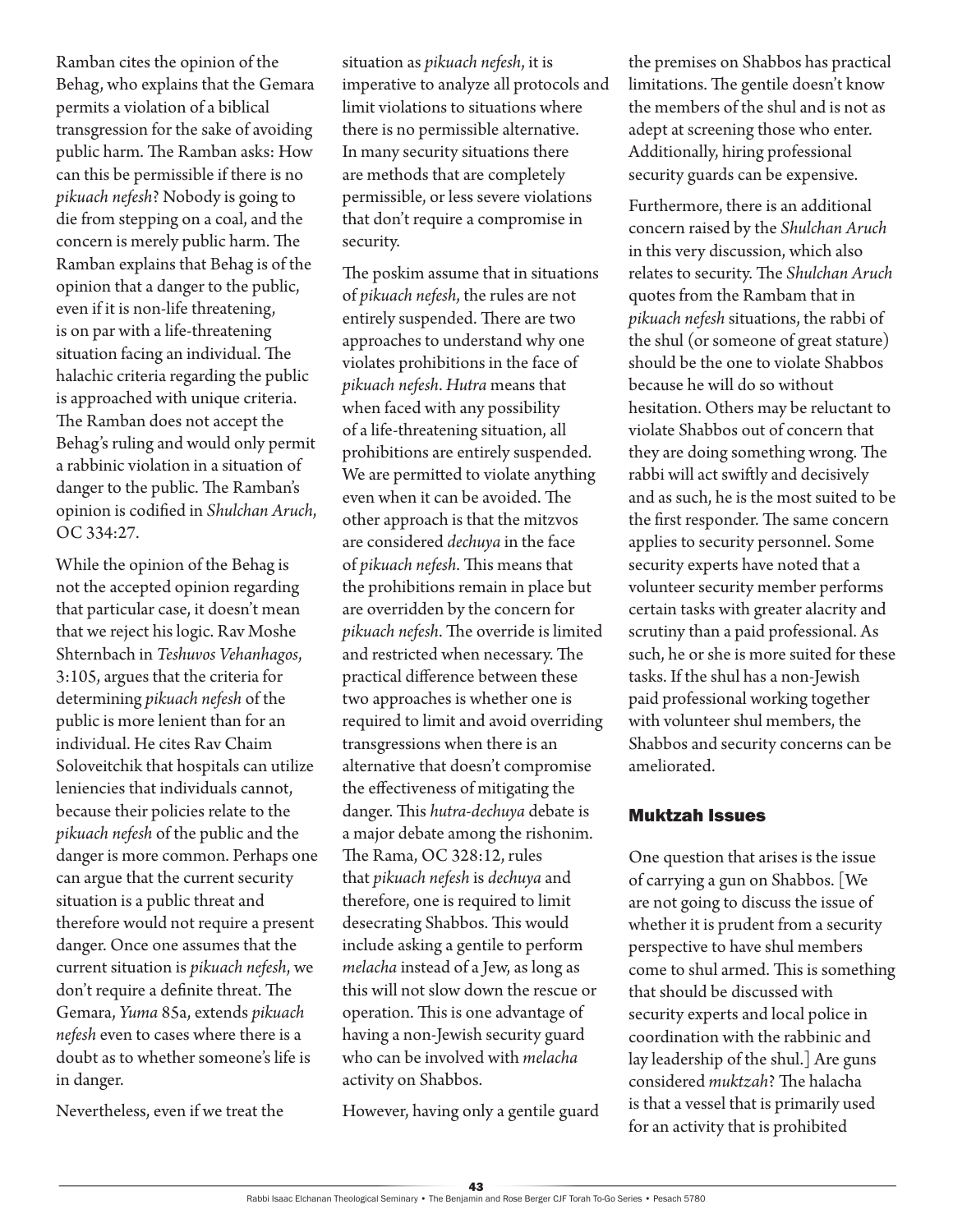Ramban cites the opinion of the Behag, who explains that the Gemara permits a violation of a biblical transgression for the sake of avoiding public harm. The Ramban asks: How can this be permissible if there is no *pikuach nefesh*? Nobody is going to die from stepping on a coal, and the concern is merely public harm. The Ramban explains that Behag is of the opinion that a danger to the public, even if it is non-life threatening, is on par with a life-threatening situation facing an individual. The halachic criteria regarding the public is approached with unique criteria. The Ramban does not accept the Behag's ruling and would only permit a rabbinic violation in a situation of danger to the public. The Ramban's opinion is codified in *Shulchan Aruch*, OC 334:27.

While the opinion of the Behag is not the accepted opinion regarding that particular case, it doesn't mean that we reject his logic. Rav Moshe Shternbach in *Teshuvos Vehanhagos*, 3:105, argues that the criteria for determining *pikuach nefesh* of the public is more lenient than for an individual. He cites Rav Chaim Soloveitchik that hospitals can utilize leniencies that individuals cannot, because their policies relate to the *pikuach nefesh* of the public and the danger is more common. Perhaps one can argue that the current security situation is a public threat and therefore would not require a present danger. Once one assumes that the current situation is *pikuach nefesh*, we don't require a definite threat. The Gemara, *Yuma* 85a, extends *pikuach nefesh* even to cases where there is a doubt as to whether someone's life is in danger.

Nevertheless, even if we treat the

situation as *pikuach nefesh*, it is imperative to analyze all protocols and limit violations to situations where there is no permissible alternative. In many security situations there are methods that are completely permissible, or less severe violations that don't require a compromise in security.

The poskim assume that in situations of *pikuach nefesh*, the rules are not entirely suspended. There are two approaches to understand why one violates prohibitions in the face of *pikuach nefesh*. *Hutra* means that when faced with any possibility of a life-threatening situation, all prohibitions are entirely suspended. We are permitted to violate anything even when it can be avoided. The other approach is that the mitzvos are considered *dechuya* in the face of *pikuach nefesh*. This means that the prohibitions remain in place but are overridden by the concern for *pikuach nefesh*. The override is limited and restricted when necessary. The practical difference between these two approaches is whether one is required to limit and avoid overriding transgressions when there is an alternative that doesn't compromise the effectiveness of mitigating the danger. This *hutra-dechuya* debate is a major debate among the rishonim. The Rama, OC 328:12, rules that *pikuach nefesh* is *dechuya* and therefore, one is required to limit desecrating Shabbos. This would include asking a gentile to perform *melacha* instead of a Jew, as long as this will not slow down the rescue or operation. This is one advantage of having a non-Jewish security guard who can be involved with *melacha* activity on Shabbos.

However, having only a gentile guard

the premises on Shabbos has practical limitations. The gentile doesn't know the members of the shul and is not as adept at screening those who enter. Additionally, hiring professional security guards can be expensive.

Furthermore, there is an additional concern raised by the *Shulchan Aruch* in this very discussion, which also relates to security. The *Shulchan Aruch* quotes from the Rambam that in *pikuach nefesh* situations, the rabbi of the shul (or someone of great stature) should be the one to violate Shabbos because he will do so without hesitation. Others may be reluctant to violate Shabbos out of concern that they are doing something wrong. The rabbi will act swiftly and decisively and as such, he is the most suited to be the first responder. The same concern applies to security personnel. Some security experts have noted that a volunteer security member performs certain tasks with greater alacrity and scrutiny than a paid professional. As such, he or she is more suited for these tasks. If the shul has a non-Jewish paid professional working together with volunteer shul members, the Shabbos and security concerns can be ameliorated.

#### Muktzah Issues

One question that arises is the issue of carrying a gun on Shabbos. [We are not going to discuss the issue of whether it is prudent from a security perspective to have shul members come to shul armed. This is something that should be discussed with security experts and local police in coordination with the rabbinic and lay leadership of the shul.] Are guns considered *muktzah*? The halacha is that a vessel that is primarily used for an activity that is prohibited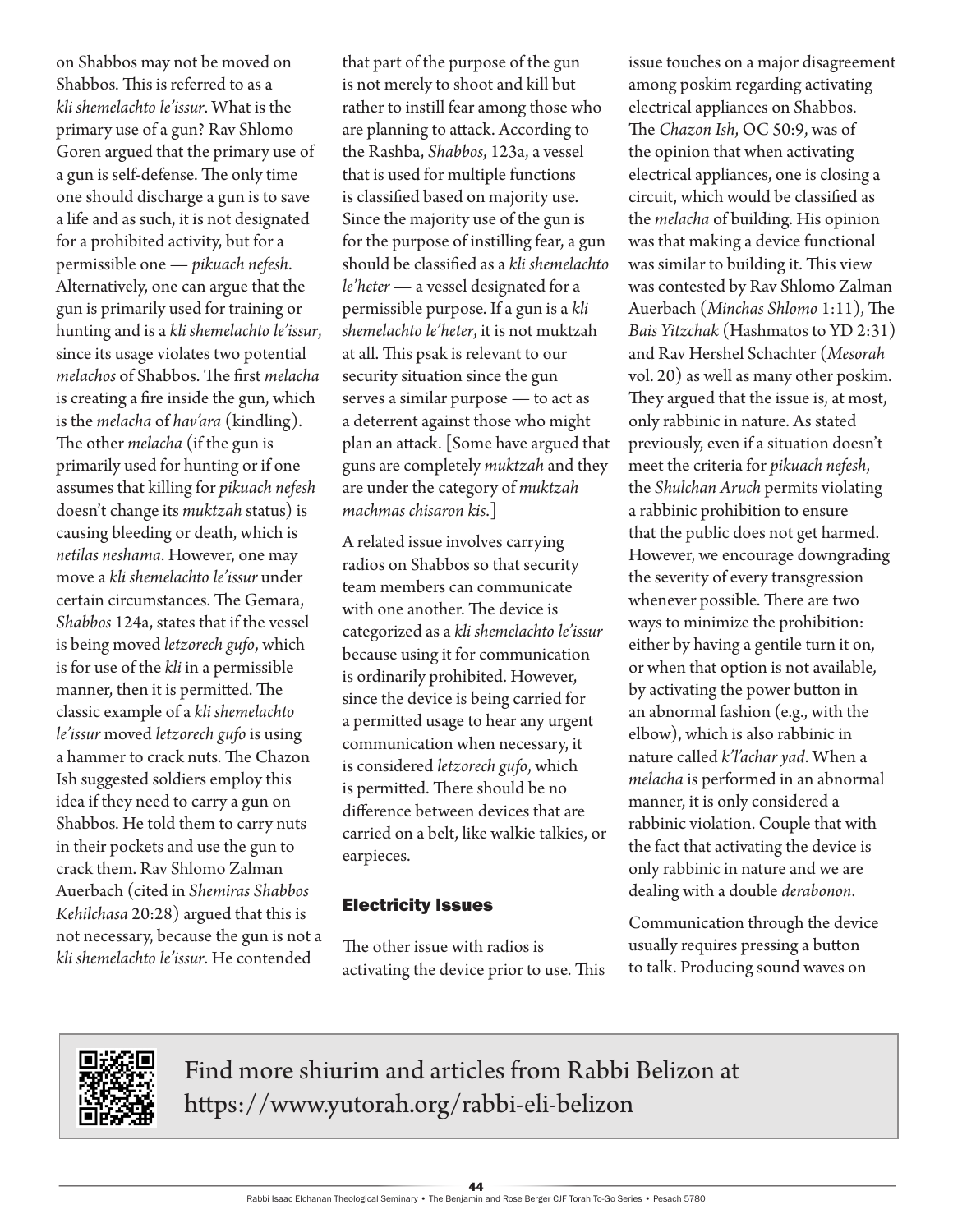on Shabbos may not be moved on Shabbos. This is referred to as a *kli shemelachto le'issur*. What is the primary use of a gun? Rav Shlomo Goren argued that the primary use of a gun is self-defense. The only time one should discharge a gun is to save a life and as such, it is not designated for a prohibited activity, but for a permissible one — *pikuach nefesh*. Alternatively, one can argue that the gun is primarily used for training or hunting and is a *kli shemelachto le'issur*, since its usage violates two potential *melachos* of Shabbos. The first *melacha* is creating a fire inside the gun, which is the *melacha* of *hav'ara* (kindling). The other *melacha* (if the gun is primarily used for hunting or if one assumes that killing for *pikuach nefesh* doesn't change its *muktzah* status) is causing bleeding or death, which is *netilas neshama*. However, one may move a *kli shemelachto le'issur* under certain circumstances. The Gemara, *Shabbos* 124a, states that if the vessel is being moved *letzorech gufo*, which is for use of the *kli* in a permissible manner, then it is permitted. The classic example of a *kli shemelachto le'issur* moved *letzorech gufo* is using a hammer to crack nuts. The Chazon Ish suggested soldiers employ this idea if they need to carry a gun on Shabbos. He told them to carry nuts in their pockets and use the gun to crack them. Rav Shlomo Zalman Auerbach (cited in *Shemiras Shabbos Kehilchasa* 20:28) argued that this is not necessary, because the gun is not a *kli shemelachto le'issur*. He contended

that part of the purpose of the gun is not merely to shoot and kill but rather to instill fear among those who are planning to attack. According to the Rashba, *Shabbos*, 123a, a vessel that is used for multiple functions is classified based on majority use. Since the majority use of the gun is for the purpose of instilling fear, a gun should be classified as a *kli shemelachto le'heter* — a vessel designated for a permissible purpose. If a gun is a *kli shemelachto le'heter*, it is not muktzah at all. This psak is relevant to our security situation since the gun serves a similar purpose — to act as a deterrent against those who might plan an attack. [Some have argued that guns are completely *muktzah* and they are under the category of *muktzah machmas chisaron kis*.]

A related issue involves carrying radios on Shabbos so that security team members can communicate with one another. The device is categorized as a *kli shemelachto le'issur* because using it for communication is ordinarily prohibited. However, since the device is being carried for a permitted usage to hear any urgent communication when necessary, it is considered *letzorech gufo*, which is permitted. There should be no difference between devices that are carried on a belt, like walkie talkies, or earpieces.

# Electricity Issues

The other issue with radios is activating the device prior to use. This issue touches on a major disagreement among poskim regarding activating electrical appliances on Shabbos. The *Chazon Ish*, OC 50:9, was of the opinion that when activating electrical appliances, one is closing a circuit, which would be classified as the *melacha* of building. His opinion was that making a device functional was similar to building it. This view was contested by Rav Shlomo Zalman Auerbach (*Minchas Shlomo* 1:11), The *Bais Yitzchak* (Hashmatos to YD 2:31) and Rav Hershel Schachter (*Mesorah* vol. 20) as well as many other poskim. They argued that the issue is, at most, only rabbinic in nature. As stated previously, even if a situation doesn't meet the criteria for *pikuach nefesh*, the *Shulchan Aruch* permits violating a rabbinic prohibition to ensure that the public does not get harmed. However, we encourage downgrading the severity of every transgression whenever possible. There are two ways to minimize the prohibition: either by having a gentile turn it on, or when that option is not available, by activating the power button in an abnormal fashion (e.g., with the elbow), which is also rabbinic in nature called *k'l'achar yad*. When a *melacha* is performed in an abnormal manner, it is only considered a rabbinic violation. Couple that with the fact that activating the device is only rabbinic in nature and we are dealing with a double *derabonon*.

Communication through the device usually requires pressing a button to talk. Producing sound waves on



Find more shiurim and articles from Rabbi Belizon at https://www.yutorah.org/rabbi-eli-belizon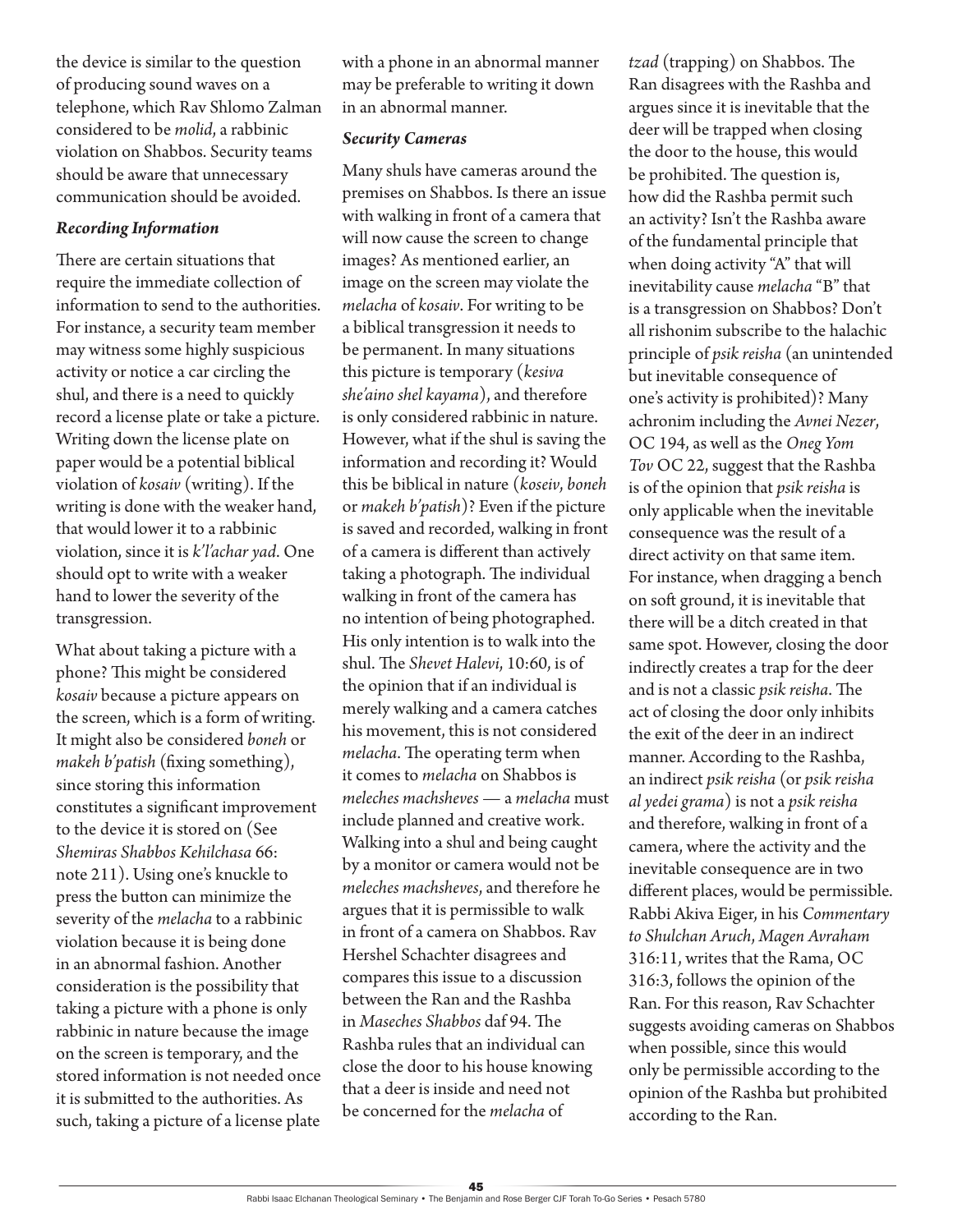the device is similar to the question of producing sound waves on a telephone, which Rav Shlomo Zalman considered to be *molid*, a rabbinic violation on Shabbos. Security teams should be aware that unnecessary communication should be avoided.

#### *Recording Information*

There are certain situations that require the immediate collection of information to send to the authorities. For instance, a security team member may witness some highly suspicious activity or notice a car circling the shul, and there is a need to quickly record a license plate or take a picture. Writing down the license plate on paper would be a potential biblical violation of *kosaiv* (writing). If the writing is done with the weaker hand, that would lower it to a rabbinic violation, since it is *k'l'achar yad*. One should opt to write with a weaker hand to lower the severity of the transgression.

What about taking a picture with a phone? This might be considered *kosaiv* because a picture appears on the screen, which is a form of writing. It might also be considered *boneh* or *makeh b'patish* (fixing something), since storing this information constitutes a significant improvement to the device it is stored on (See *Shemiras Shabbos Kehilchasa* 66: note 211). Using one's knuckle to press the button can minimize the severity of the *melacha* to a rabbinic violation because it is being done in an abnormal fashion. Another consideration is the possibility that taking a picture with a phone is only rabbinic in nature because the image on the screen is temporary, and the stored information is not needed once it is submitted to the authorities. As such, taking a picture of a license plate

with a phone in an abnormal manner may be preferable to writing it down in an abnormal manner.

#### *Security Cameras*

Many shuls have cameras around the premises on Shabbos. Is there an issue with walking in front of a camera that will now cause the screen to change images? As mentioned earlier, an image on the screen may violate the *melacha* of *kosaiv*. For writing to be a biblical transgression it needs to be permanent. In many situations this picture is temporary (*kesiva she'aino shel kayama*), and therefore is only considered rabbinic in nature. However, what if the shul is saving the information and recording it? Would this be biblical in nature (*koseiv*, *boneh* or *makeh b'patish*)? Even if the picture is saved and recorded, walking in front of a camera is different than actively taking a photograph. The individual walking in front of the camera has no intention of being photographed. His only intention is to walk into the shul. The *Shevet Halevi*, 10:60, is of the opinion that if an individual is merely walking and a camera catches his movement, this is not considered *melacha*. The operating term when it comes to *melacha* on Shabbos is *meleches machsheves* — a *melacha* must include planned and creative work. Walking into a shul and being caught by a monitor or camera would not be *meleches machsheves*, and therefore he argues that it is permissible to walk in front of a camera on Shabbos. Rav Hershel Schachter disagrees and compares this issue to a discussion between the Ran and the Rashba in *Maseches Shabbos* daf 94. The Rashba rules that an individual can close the door to his house knowing that a deer is inside and need not be concerned for the *melacha* of

*tzad* (trapping) on Shabbos. The Ran disagrees with the Rashba and argues since it is inevitable that the deer will be trapped when closing the door to the house, this would be prohibited. The question is, how did the Rashba permit such an activity? Isn't the Rashba aware of the fundamental principle that when doing activity "A" that will inevitability cause *melacha* "B" that is a transgression on Shabbos? Don't all rishonim subscribe to the halachic principle of *psik reisha* (an unintended but inevitable consequence of one's activity is prohibited)? Many achronim including the *Avnei Nezer*, OC 194, as well as the *Oneg Yom Tov* OC 22, suggest that the Rashba is of the opinion that *psik reisha* is only applicable when the inevitable consequence was the result of a direct activity on that same item. For instance, when dragging a bench on soft ground, it is inevitable that there will be a ditch created in that same spot. However, closing the door indirectly creates a trap for the deer and is not a classic *psik reisha*. The act of closing the door only inhibits the exit of the deer in an indirect manner. According to the Rashba, an indirect *psik reisha* (or *psik reisha al yedeigrama*) is not a *psik reisha* and therefore, walking in front of a camera, where the activity and the inevitable consequence are in two different places, would be permissible. Rabbi Akiva Eiger, in his *Commentary to Shulchan Aruch*, *Magen Avraham*  316:11, writes that the Rama, OC 316:3, follows the opinion of the Ran. For this reason, Rav Schachter suggests avoiding cameras on Shabbos when possible, since this would only be permissible according to the opinion of the Rashba but prohibited according to the Ran.